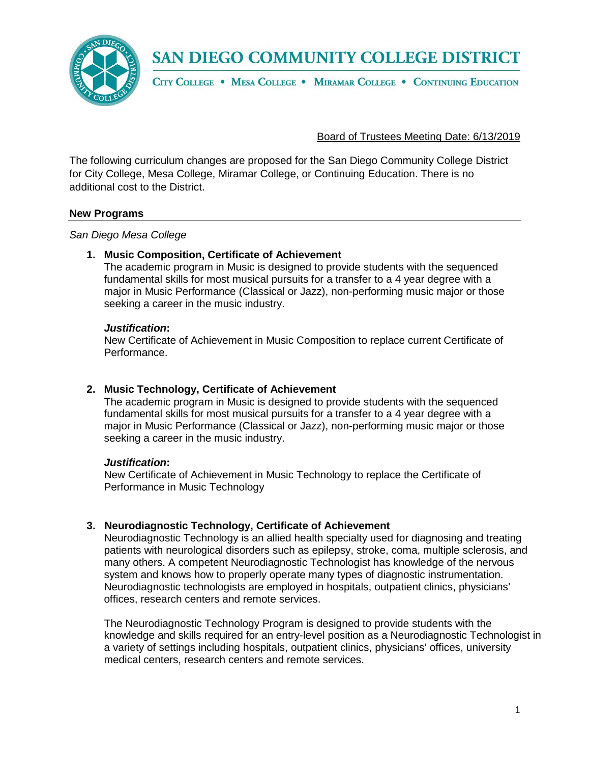SAN DIEGO COMMUNITY COLLEGE DISTRICT



CITY COLLEGE . MESA COLLEGE . MIRAMAR COLLEGE . CONTINUING EDUCATION

### Board of Trustees Meeting Date: 6/13/2019

The following curriculum changes are proposed for the San Diego Community College District for City College, Mesa College, Miramar College, or Continuing Education. There is no additional cost to the District.

#### **New Programs**

*San Diego Mesa College*

#### **1. Music Composition, Certificate of Achievement**

The academic program in Music is designed to provide students with the sequenced fundamental skills for most musical pursuits for a transfer to a 4 year degree with a major in Music Performance (Classical or Jazz), non-performing music major or those seeking a career in the music industry.

#### *Justification***:**

New Certificate of Achievement in Music Composition to replace current Certificate of Performance.

### **2. Music Technology, Certificate of Achievement**

The academic program in Music is designed to provide students with the sequenced fundamental skills for most musical pursuits for a transfer to a 4 year degree with a major in Music Performance (Classical or Jazz), non-performing music major or those seeking a career in the music industry.

#### *Justification***:**

New Certificate of Achievement in Music Technology to replace the Certificate of Performance in Music Technology

# **3. Neurodiagnostic Technology, Certificate of Achievement**

Neurodiagnostic Technology is an allied health specialty used for diagnosing and treating patients with neurological disorders such as epilepsy, stroke, coma, multiple sclerosis, and many others. A competent Neurodiagnostic Technologist has knowledge of the nervous system and knows how to properly operate many types of diagnostic instrumentation. Neurodiagnostic technologists are employed in hospitals, outpatient clinics, physicians' offices, research centers and remote services.

The Neurodiagnostic Technology Program is designed to provide students with the knowledge and skills required for an entry-level position as a Neurodiagnostic Technologist in a variety of settings including hospitals, outpatient clinics, physicians' offices, university medical centers, research centers and remote services.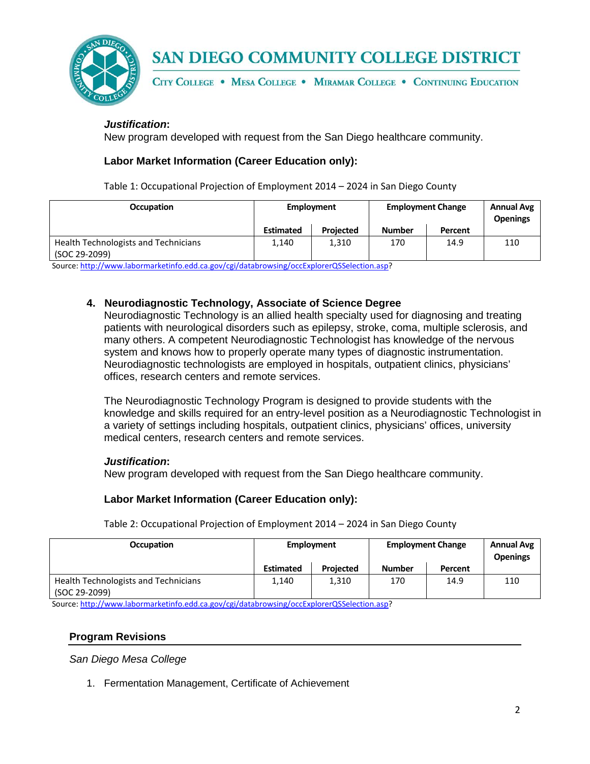

**SAN DIEGO COMMUNITY COLLEGE DISTRICT** 

CITY COLLEGE . MESA COLLEGE . MIRAMAR COLLEGE . CONTINUING EDUCATION

# *Justification***:**

New program developed with request from the San Diego healthcare community.

### **Labor Market Information (Career Education only):**

Table 1: Occupational Projection of Employment 2014 – 2024 in San Diego County

| <b>Occupation</b>                                            | Employment       |                  | <b>Employment Change</b> |         | <b>Annual Avg</b><br><b>Openings</b> |
|--------------------------------------------------------------|------------------|------------------|--------------------------|---------|--------------------------------------|
|                                                              | <b>Estimated</b> | <b>Projected</b> | <b>Number</b>            | Percent |                                      |
| <b>Health Technologists and Technicians</b><br>(SOC 29-2099) | 1,140            | 1,310            | 170                      | 14.9    | 110                                  |

Source[: http://www.labormarketinfo.edd.ca.gov/cgi/databrowsing/occExplorerQSSelection.asp?](http://www.labormarketinfo.edd.ca.gov/cgi/databrowsing/occExplorerQSSelection.asp)

### **4. Neurodiagnostic Technology, Associate of Science Degree**

Neurodiagnostic Technology is an allied health specialty used for diagnosing and treating patients with neurological disorders such as epilepsy, stroke, coma, multiple sclerosis, and many others. A competent Neurodiagnostic Technologist has knowledge of the nervous system and knows how to properly operate many types of diagnostic instrumentation. Neurodiagnostic technologists are employed in hospitals, outpatient clinics, physicians' offices, research centers and remote services.

The Neurodiagnostic Technology Program is designed to provide students with the knowledge and skills required for an entry-level position as a Neurodiagnostic Technologist in a variety of settings including hospitals, outpatient clinics, physicians' offices, university medical centers, research centers and remote services.

### *Justification***:**

New program developed with request from the San Diego healthcare community.

### **Labor Market Information (Career Education only):**

| <b>Occupation</b>                                            |                  | Employment |               | <b>Employment Change</b> |     |
|--------------------------------------------------------------|------------------|------------|---------------|--------------------------|-----|
|                                                              | <b>Estimated</b> | Projected  | <b>Number</b> | Percent                  |     |
| <b>Health Technologists and Technicians</b><br>(SOC 29-2099) | 1.140            | 1,310      | 170           | 14.9                     | 110 |

Table 2: Occupational Projection of Employment 2014 – 2024 in San Diego County

Source[: http://www.labormarketinfo.edd.ca.gov/cgi/databrowsing/occExplorerQSSelection.asp?](http://www.labormarketinfo.edd.ca.gov/cgi/databrowsing/occExplorerQSSelection.asp)

### **Program Revisions**

*San Diego Mesa College*

1. Fermentation Management, Certificate of Achievement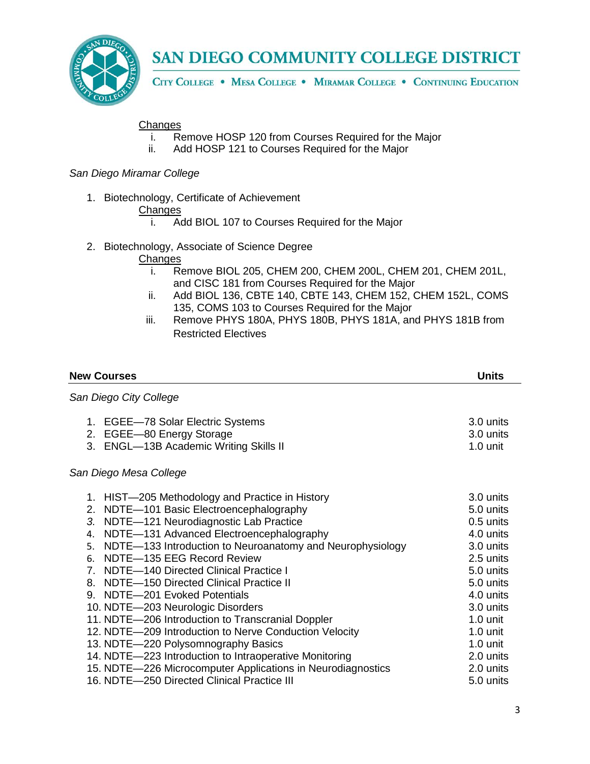

# SAN DIEGO COMMUNITY COLLEGE DISTRICT

CITY COLLEGE . MESA COLLEGE . MIRAMAR COLLEGE . CONTINUING EDUCATION

# **Changes**

- i. Remove HOSP 120 from Courses Required for the Major
- ii. Add HOSP 121 to Courses Required for the Major

### *San Diego Miramar College*

1. Biotechnology, Certificate of Achievement

# Changes<br>i. A

- Add BIOL 107 to Courses Required for the Major
- 2. Biotechnology, Associate of Science Degree
	- **Changes** 
		- i. Remove BIOL 205, CHEM 200, CHEM 200L, CHEM 201, CHEM 201L, and CISC 181 from Courses Required for the Major
		- ii. Add BIOL 136, CBTE 140, CBTE 143, CHEM 152, CHEM 152L, COMS 135, COMS 103 to Courses Required for the Major
		- iii. Remove PHYS 180A, PHYS 180B, PHYS 181A, and PHYS 181B from Restricted Electives

| <b>New Courses</b>                                                                                                                                                                                                                                                                                                                                                                                                                                                                                                                                                                                                                                                                                                                    | Units                                                                                                                                                                                                                          |
|---------------------------------------------------------------------------------------------------------------------------------------------------------------------------------------------------------------------------------------------------------------------------------------------------------------------------------------------------------------------------------------------------------------------------------------------------------------------------------------------------------------------------------------------------------------------------------------------------------------------------------------------------------------------------------------------------------------------------------------|--------------------------------------------------------------------------------------------------------------------------------------------------------------------------------------------------------------------------------|
| San Diego City College                                                                                                                                                                                                                                                                                                                                                                                                                                                                                                                                                                                                                                                                                                                |                                                                                                                                                                                                                                |
| 1. EGEE-78 Solar Electric Systems<br>2. EGEE-80 Energy Storage<br>3. ENGL-13B Academic Writing Skills II                                                                                                                                                                                                                                                                                                                                                                                                                                                                                                                                                                                                                              | 3.0 units<br>3.0 units<br>$1.0 \text{ unit}$                                                                                                                                                                                   |
| San Diego Mesa College                                                                                                                                                                                                                                                                                                                                                                                                                                                                                                                                                                                                                                                                                                                |                                                                                                                                                                                                                                |
| 1. HIST-205 Methodology and Practice in History<br>2. NDTE-101 Basic Electroencephalography<br>3. NDTE-121 Neurodiagnostic Lab Practice<br>4. NDTE-131 Advanced Electroencephalography<br>5. NDTE-133 Introduction to Neuroanatomy and Neurophysiology<br>6. NDTE-135 EEG Record Review<br>7. NDTE-140 Directed Clinical Practice I<br>8. NDTE-150 Directed Clinical Practice II<br>9. NDTE-201 Evoked Potentials<br>10. NDTE-203 Neurologic Disorders<br>11. NDTE-206 Introduction to Transcranial Doppler<br>12. NDTE-209 Introduction to Nerve Conduction Velocity<br>13. NDTE-220 Polysomnography Basics<br>14. NDTE-223 Introduction to Intraoperative Monitoring<br>15. NDTE-226 Microcomputer Applications in Neurodiagnostics | 3.0 units<br>5.0 units<br>$0.5$ units<br>4.0 units<br>3.0 units<br>2.5 units<br>5.0 units<br>$5.0$ units<br>4.0 units<br>3.0 units<br>$1.0 \text{ unit}$<br>$1.0 \text{ unit}$<br>$1.0 \text{ unit}$<br>2.0 units<br>2.0 units |